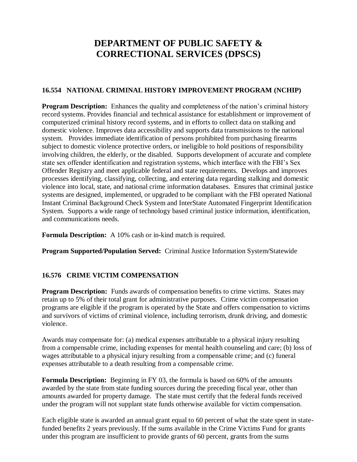# **DEPARTMENT OF PUBLIC SAFETY & CORRECTIONAL SERVICES (DPSCS)**

#### **16.554 NATIONAL CRIMINAL HISTORY IMPROVEMENT PROGRAM (NCHIP)**

**Program Description:** Enhances the quality and completeness of the nation's criminal history record systems. Provides financial and technical assistance for establishment or improvement of computerized criminal history record systems, and in efforts to collect data on stalking and domestic violence. Improves data accessibility and supports data transmissions to the national system. Provides immediate identification of persons prohibited from purchasing firearms subject to domestic violence protective orders, or ineligible to hold positions of responsibility involving children, the elderly, or the disabled. Supports development of accurate and complete state sex offender identification and registration systems, which interface with the FBI's Sex Offender Registry and meet applicable federal and state requirements. Develops and improves processes identifying, classifying, collecting, and entering data regarding stalking and domestic violence into local, state, and national crime information databases. Ensures that criminal justice systems are designed, implemented, or upgraded to be compliant with the FBI operated National Instant Criminal Background Check System and InterState Automated Fingerprint Identification System. Supports a wide range of technology based criminal justice information, identification, and communications needs.

**Formula Description:** A 10% cash or in-kind match is required.

**Program Supported/Population Served:** Criminal Justice Information System/Statewide

#### **16.576 CRIME VICTIM COMPENSATION**

**Program Description:** Funds awards of compensation benefits to crime victims. States may retain up to 5% of their total grant for administrative purposes. Crime victim compensation programs are eligible if the program is operated by the State and offers compensation to victims and survivors of victims of criminal violence, including terrorism, drunk driving, and domestic violence.

Awards may compensate for: (a) medical expenses attributable to a physical injury resulting from a compensable crime, including expenses for mental health counseling and care; (b) loss of wages attributable to a physical injury resulting from a compensable crime; and (c) funeral expenses attributable to a death resulting from a compensable crime.

**Formula Description:** Beginning in FY 03, the formula is based on 60% of the amounts awarded by the state from state funding sources during the preceding fiscal year, other than amounts awarded for property damage. The state must certify that the federal funds received under the program will not supplant state funds otherwise available for victim compensation.

Each eligible state is awarded an annual grant equal to 60 percent of what the state spent in statefunded benefits 2 years previously. If the sums available in the Crime Victims Fund for grants under this program are insufficient to provide grants of 60 percent, grants from the sums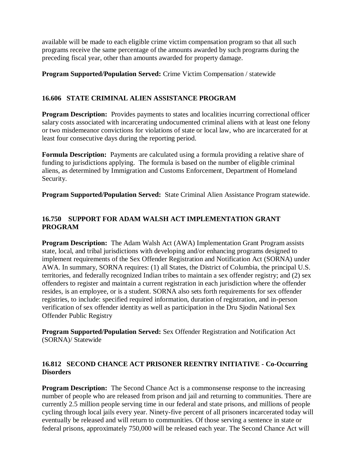available will be made to each eligible crime victim compensation program so that all such programs receive the same percentage of the amounts awarded by such programs during the preceding fiscal year, other than amounts awarded for property damage.

**Program Supported/Population Served:** Crime Victim Compensation / statewide

#### **16.606 STATE CRIMINAL ALIEN ASSISTANCE PROGRAM**

**Program Description:** Provides payments to states and localities incurring correctional officer salary costs associated with incarcerating undocumented criminal aliens with at least one felony or two misdemeanor convictions for violations of state or local law, who are incarcerated for at least four consecutive days during the reporting period.

**Formula Description:** Payments are calculated using a formula providing a relative share of funding to jurisdictions applying. The formula is based on the number of eligible criminal aliens, as determined by Immigration and Customs Enforcement, Department of Homeland Security.

**Program Supported/Population Served:** State Criminal Alien Assistance Program statewide.

#### **16.750 SUPPORT FOR ADAM WALSH ACT IMPLEMENTATION GRANT PROGRAM**

**Program Description:** The Adam Walsh Act (AWA) Implementation Grant Program assists state, local, and tribal jurisdictions with developing and/or enhancing programs designed to implement requirements of the Sex Offender Registration and Notification Act (SORNA) under AWA. In summary, SORNA requires: (1) all States, the District of Columbia, the principal U.S. territories, and federally recognized Indian tribes to maintain a sex offender registry; and (2) sex offenders to register and maintain a current registration in each jurisdiction where the offender resides, is an employee, or is a student. SORNA also sets forth requirements for sex offender registries, to include: specified required information, duration of registration, and in-person verification of sex offender identity as well as participation in the Dru Sjodin National Sex Offender Public Registry

**Program Supported/Population Served:** Sex Offender Registration and Notification Act (SORNA)/ Statewide

## **16.812 SECOND CHANCE ACT PRISONER REENTRY INITIATIVE - Co-Occurring Disorders**

**Program Description:** The Second Chance Act is a commonsense response to the increasing number of people who are released from prison and jail and returning to communities. There are currently 2.5 million people serving time in our federal and state prisons, and millions of people cycling through local jails every year. Ninety-five percent of all prisoners incarcerated today will eventually be released and will return to communities. Of those serving a sentence in state or federal prisons, approximately 750,000 will be released each year. The Second Chance Act will